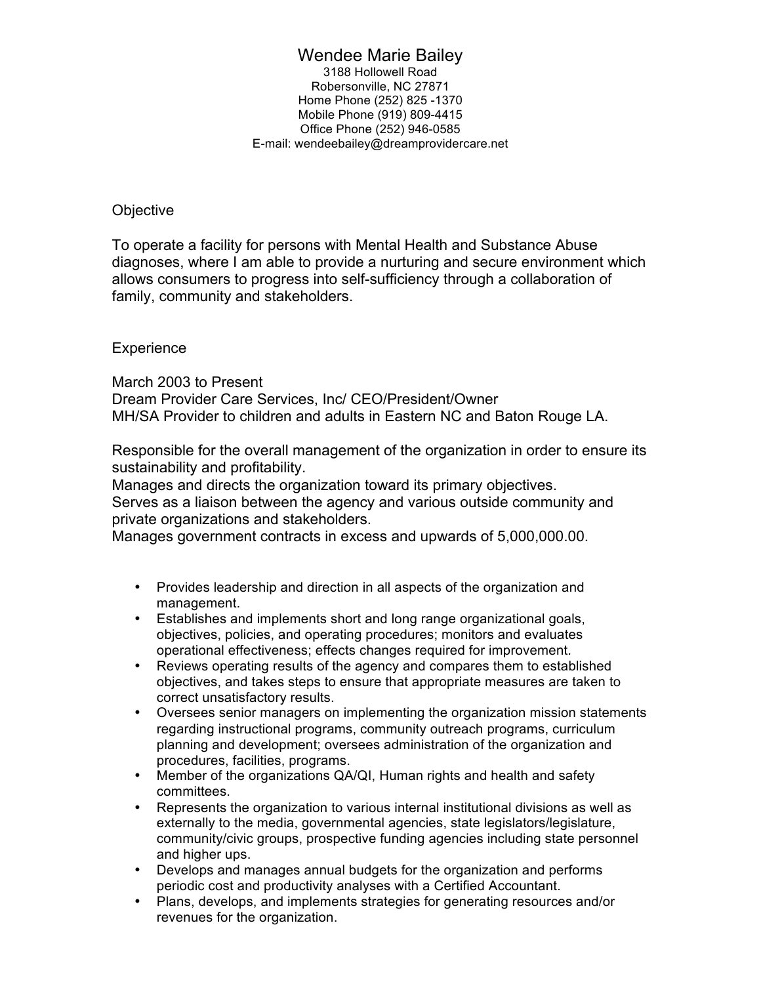## Wendee Marie Bailey

3188 Hollowell Road Robersonville, NC 27871 Home Phone (252) 825 -1370 Mobile Phone (919) 809-4415 Office Phone (252) 946-0585 E-mail: wendeebailey@dreamprovidercare.net

## **Objective**

To operate a facility for persons with Mental Health and Substance Abuse diagnoses, where I am able to provide a nurturing and secure environment which allows consumers to progress into self-sufficiency through a collaboration of family, community and stakeholders.

## **Experience**

March 2003 to Present Dream Provider Care Services, Inc/ CEO/President/Owner MH/SA Provider to children and adults in Eastern NC and Baton Rouge LA.

Responsible for the overall management of the organization in order to ensure its sustainability and profitability.

Manages and directs the organization toward its primary objectives.

Serves as a liaison between the agency and various outside community and private organizations and stakeholders.

Manages government contracts in excess and upwards of 5,000,000.00.

- Provides leadership and direction in all aspects of the organization and management.
- Establishes and implements short and long range organizational goals, objectives, policies, and operating procedures; monitors and evaluates operational effectiveness; effects changes required for improvement.
- Reviews operating results of the agency and compares them to established objectives, and takes steps to ensure that appropriate measures are taken to correct unsatisfactory results.
- Oversees senior managers on implementing the organization mission statements regarding instructional programs, community outreach programs, curriculum planning and development; oversees administration of the organization and procedures, facilities, programs.
- Member of the organizations QA/QI, Human rights and health and safety committees.
- Represents the organization to various internal institutional divisions as well as externally to the media, governmental agencies, state legislators/legislature, community/civic groups, prospective funding agencies including state personnel and higher ups.
- Develops and manages annual budgets for the organization and performs periodic cost and productivity analyses with a Certified Accountant.
- Plans, develops, and implements strategies for generating resources and/or revenues for the organization.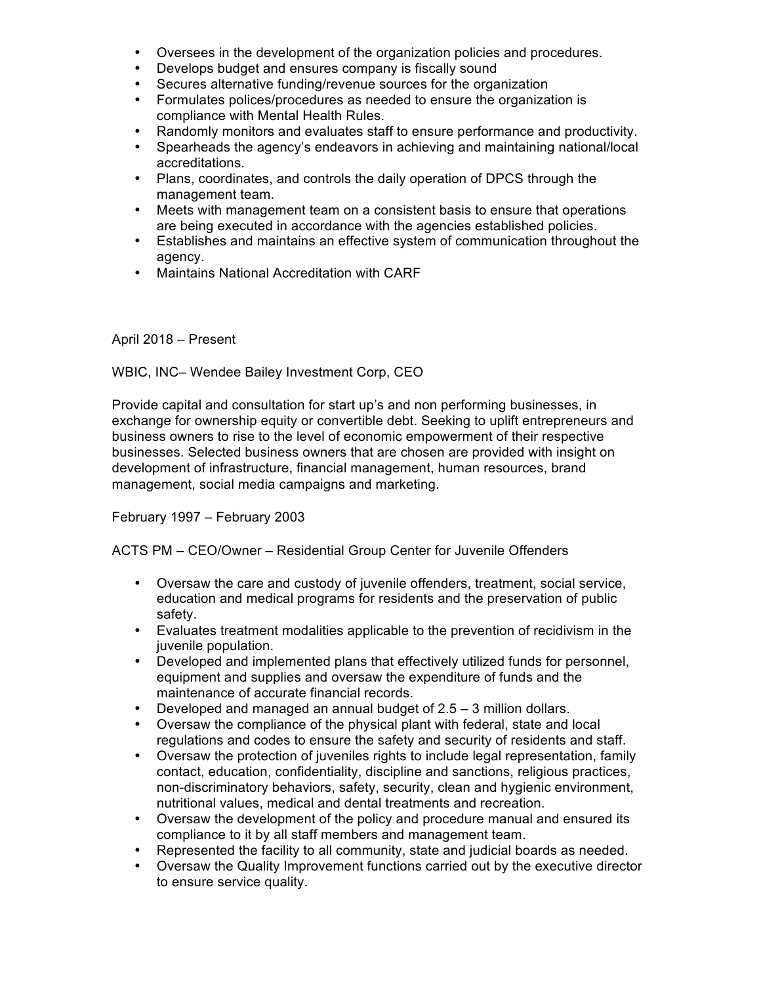- Oversees in the development of the organization policies and procedures.
- Develops budget and ensures company is fiscally sound
- Secures alternative funding/revenue sources for the organization
- Formulates polices/procedures as needed to ensure the organization is compliance with Mental Health Rules.
- Randomly monitors and evaluates staff to ensure performance and productivity.
- Spearheads the agency's endeavors in achieving and maintaining national/local accreditations.
- Plans, coordinates, and controls the daily operation of DPCS through the management team.
- Meets with management team on a consistent basis to ensure that operations are being executed in accordance with the agencies established policies.
- Establishes and maintains an effective system of communication throughout the agency.
- Maintains National Accreditation with CARF

## April 2018 – Present

WBIC, INC– Wendee Bailey Investment Corp, CEO

Provide capital and consultation for start up's and non performing businesses, in exchange for ownership equity or convertible debt. Seeking to uplift entrepreneurs and business owners to rise to the level of economic empowerment of their respective businesses. Selected business owners that are chosen are provided with insight on development of infrastructure, financial management, human resources, brand management, social media campaigns and marketing.

February 1997 – February 2003

ACTS PM – CEO/Owner – Residential Group Center for Juvenile Offenders

- Oversaw the care and custody of juvenile offenders, treatment, social service, education and medical programs for residents and the preservation of public safety.
- Evaluates treatment modalities applicable to the prevention of recidivism in the juvenile population.
- Developed and implemented plans that effectively utilized funds for personnel, equipment and supplies and oversaw the expenditure of funds and the maintenance of accurate financial records.
- Developed and managed an annual budget of 2.5 3 million dollars.
- Oversaw the compliance of the physical plant with federal, state and local regulations and codes to ensure the safety and security of residents and staff.
- Oversaw the protection of juveniles rights to include legal representation, family contact, education, confidentiality, discipline and sanctions, religious practices, non-discriminatory behaviors, safety, security, clean and hygienic environment, nutritional values, medical and dental treatments and recreation.
- Oversaw the development of the policy and procedure manual and ensured its compliance to it by all staff members and management team.
- Represented the facility to all community, state and judicial boards as needed.
- Oversaw the Quality Improvement functions carried out by the executive director to ensure service quality.